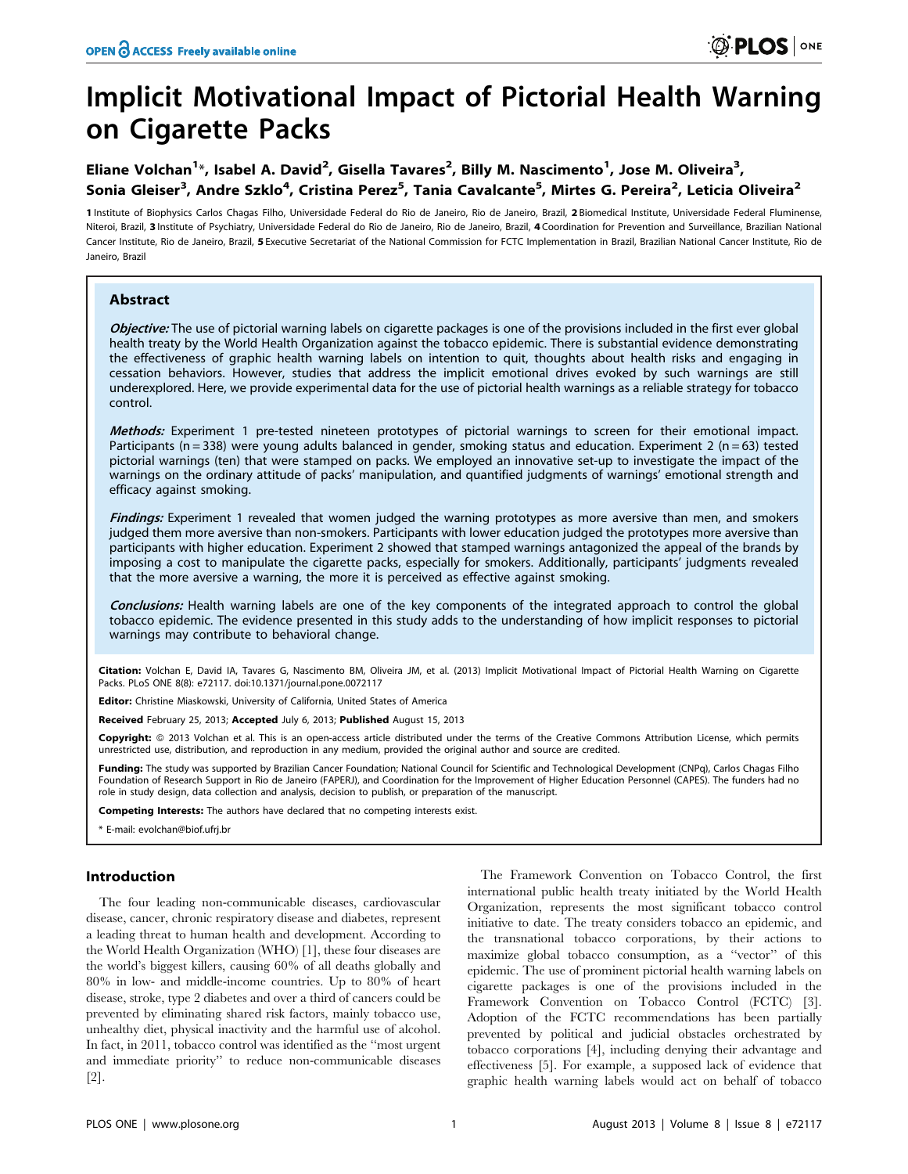# Implicit Motivational Impact of Pictorial Health Warning on Cigarette Packs

# Eliane Volchan<sup>1</sup>\*, Isabel A. David<sup>2</sup>, Gisella Tavares<sup>2</sup>, Billy M. Nascimento<sup>1</sup>, Jose M. Oliveira<sup>3</sup>, Sonia Gleiser<sup>3</sup>, Andre Szklo<sup>4</sup>, Cristina Perez<sup>5</sup>, Tania Cavalcante<sup>5</sup>, Mirtes G. Pereira<sup>2</sup>, Leticia Oliveira<sup>2</sup>

1 Institute of Biophysics Carlos Chagas Filho, Universidade Federal do Rio de Janeiro, Rio de Janeiro, Brazil, 2 Biomedical Institute, Universidade Federal Fluminense, Niteroi, Brazil, 3 Institute of Psychiatry, Universidade Federal do Rio de Janeiro, Rio de Janeiro, Brazil, 4 Coordination for Prevention and Surveillance, Brazilian National Cancer Institute, Rio de Janeiro, Brazil, 5 Executive Secretariat of the National Commission for FCTC Implementation in Brazil, Brazilian National Cancer Institute, Rio de Janeiro, Brazil

# Abstract

Objective: The use of pictorial warning labels on cigarette packages is one of the provisions included in the first ever global health treaty by the World Health Organization against the tobacco epidemic. There is substantial evidence demonstrating the effectiveness of graphic health warning labels on intention to quit, thoughts about health risks and engaging in cessation behaviors. However, studies that address the implicit emotional drives evoked by such warnings are still underexplored. Here, we provide experimental data for the use of pictorial health warnings as a reliable strategy for tobacco control.

Methods: Experiment 1 pre-tested nineteen prototypes of pictorial warnings to screen for their emotional impact. Participants ( $n = 338$ ) were young adults balanced in gender, smoking status and education. Experiment 2 ( $n = 63$ ) tested pictorial warnings (ten) that were stamped on packs. We employed an innovative set-up to investigate the impact of the warnings on the ordinary attitude of packs' manipulation, and quantified judgments of warnings' emotional strength and efficacy against smoking.

Findings: Experiment 1 revealed that women judged the warning prototypes as more aversive than men, and smokers judged them more aversive than non-smokers. Participants with lower education judged the prototypes more aversive than participants with higher education. Experiment 2 showed that stamped warnings antagonized the appeal of the brands by imposing a cost to manipulate the cigarette packs, especially for smokers. Additionally, participants' judgments revealed that the more aversive a warning, the more it is perceived as effective against smoking.

Conclusions: Health warning labels are one of the key components of the integrated approach to control the global tobacco epidemic. The evidence presented in this study adds to the understanding of how implicit responses to pictorial warnings may contribute to behavioral change.

Citation: Volchan E, David IA, Tavares G, Nascimento BM, Oliveira JM, et al. (2013) Implicit Motivational Impact of Pictorial Health Warning on Cigarette Packs. PLoS ONE 8(8): e72117. doi:10.1371/journal.pone.0072117

Editor: Christine Miaskowski, University of California, United States of America

Received February 25, 2013; Accepted July 6, 2013; Published August 15, 2013

Copyright: @ 2013 Volchan et al. This is an open-access article distributed under the terms of the Creative Commons Attribution License, which permits unrestricted use, distribution, and reproduction in any medium, provided the original author and source are credited.

Funding: The study was supported by Brazilian Cancer Foundation; National Council for Scientific and Technological Development (CNPq), Carlos Chagas Filho Foundation of Research Support in Rio de Janeiro (FAPERJ), and Coordination for the Improvement of Higher Education Personnel (CAPES). The funders had no role in study design, data collection and analysis, decision to publish, or preparation of the manuscript.

Competing Interests: The authors have declared that no competing interests exist.

E-mail: evolchan@biof.ufrj.br

# Introduction

The four leading non-communicable diseases, cardiovascular disease, cancer, chronic respiratory disease and diabetes, represent a leading threat to human health and development. According to the World Health Organization (WHO) [1], these four diseases are the world's biggest killers, causing 60% of all deaths globally and 80% in low- and middle-income countries. Up to 80% of heart disease, stroke, type 2 diabetes and over a third of cancers could be prevented by eliminating shared risk factors, mainly tobacco use, unhealthy diet, physical inactivity and the harmful use of alcohol. In fact, in 2011, tobacco control was identified as the ''most urgent and immediate priority'' to reduce non-communicable diseases [2].

The Framework Convention on Tobacco Control, the first international public health treaty initiated by the World Health Organization, represents the most significant tobacco control initiative to date. The treaty considers tobacco an epidemic, and the transnational tobacco corporations, by their actions to maximize global tobacco consumption, as a ''vector'' of this epidemic. The use of prominent pictorial health warning labels on cigarette packages is one of the provisions included in the Framework Convention on Tobacco Control (FCTC) [3]. Adoption of the FCTC recommendations has been partially prevented by political and judicial obstacles orchestrated by tobacco corporations [4], including denying their advantage and effectiveness [5]. For example, a supposed lack of evidence that graphic health warning labels would act on behalf of tobacco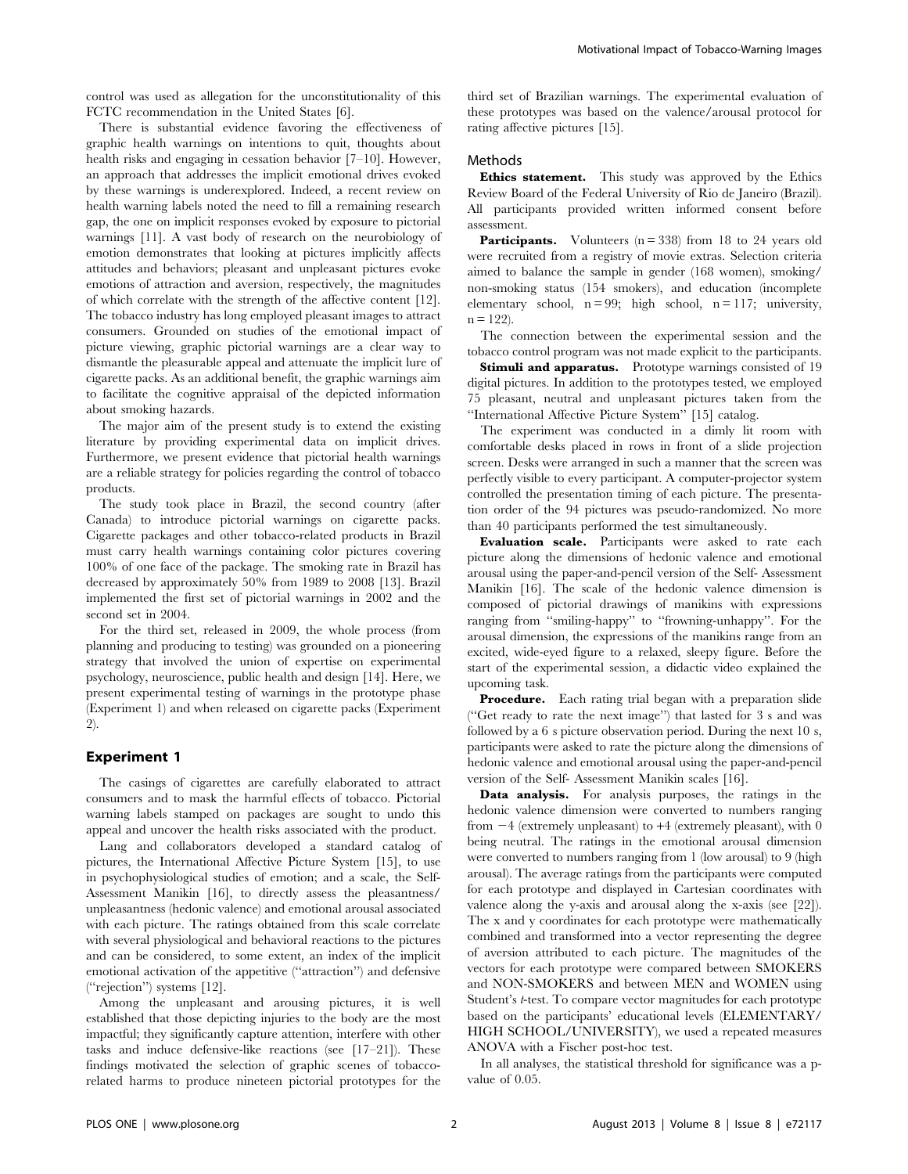control was used as allegation for the unconstitutionality of this FCTC recommendation in the United States [6].

There is substantial evidence favoring the effectiveness of graphic health warnings on intentions to quit, thoughts about health risks and engaging in cessation behavior [7–10]. However, an approach that addresses the implicit emotional drives evoked by these warnings is underexplored. Indeed, a recent review on health warning labels noted the need to fill a remaining research gap, the one on implicit responses evoked by exposure to pictorial warnings [11]. A vast body of research on the neurobiology of emotion demonstrates that looking at pictures implicitly affects attitudes and behaviors; pleasant and unpleasant pictures evoke emotions of attraction and aversion, respectively, the magnitudes of which correlate with the strength of the affective content [12]. The tobacco industry has long employed pleasant images to attract consumers. Grounded on studies of the emotional impact of picture viewing, graphic pictorial warnings are a clear way to dismantle the pleasurable appeal and attenuate the implicit lure of cigarette packs. As an additional benefit, the graphic warnings aim to facilitate the cognitive appraisal of the depicted information about smoking hazards.

The major aim of the present study is to extend the existing literature by providing experimental data on implicit drives. Furthermore, we present evidence that pictorial health warnings are a reliable strategy for policies regarding the control of tobacco products.

The study took place in Brazil, the second country (after Canada) to introduce pictorial warnings on cigarette packs. Cigarette packages and other tobacco-related products in Brazil must carry health warnings containing color pictures covering 100% of one face of the package. The smoking rate in Brazil has decreased by approximately 50% from 1989 to 2008 [13]. Brazil implemented the first set of pictorial warnings in 2002 and the second set in 2004.

For the third set, released in 2009, the whole process (from planning and producing to testing) was grounded on a pioneering strategy that involved the union of expertise on experimental psychology, neuroscience, public health and design [14]. Here, we present experimental testing of warnings in the prototype phase (Experiment 1) and when released on cigarette packs (Experiment 2).

#### Experiment 1

The casings of cigarettes are carefully elaborated to attract consumers and to mask the harmful effects of tobacco. Pictorial warning labels stamped on packages are sought to undo this appeal and uncover the health risks associated with the product.

Lang and collaborators developed a standard catalog of pictures, the International Affective Picture System [15], to use in psychophysiological studies of emotion; and a scale, the Self-Assessment Manikin [16], to directly assess the pleasantness/ unpleasantness (hedonic valence) and emotional arousal associated with each picture. The ratings obtained from this scale correlate with several physiological and behavioral reactions to the pictures and can be considered, to some extent, an index of the implicit emotional activation of the appetitive (''attraction'') and defensive (''rejection'') systems [12].

Among the unpleasant and arousing pictures, it is well established that those depicting injuries to the body are the most impactful; they significantly capture attention, interfere with other tasks and induce defensive-like reactions (see [17–21]). These findings motivated the selection of graphic scenes of tobaccorelated harms to produce nineteen pictorial prototypes for the

third set of Brazilian warnings. The experimental evaluation of these prototypes was based on the valence/arousal protocol for rating affective pictures [15].

# Methods

Ethics statement. This study was approved by the Ethics Review Board of the Federal University of Rio de Janeiro (Brazil). All participants provided written informed consent before assessment.

**Participants.** Volunteers  $(n = 338)$  from 18 to 24 years old were recruited from a registry of movie extras. Selection criteria aimed to balance the sample in gender (168 women), smoking/ non-smoking status (154 smokers), and education (incomplete elementary school,  $n = 99$ ; high school,  $n = 117$ ; university,  $n = 122$ ).

The connection between the experimental session and the tobacco control program was not made explicit to the participants.

Stimuli and apparatus. Prototype warnings consisted of 19 digital pictures. In addition to the prototypes tested, we employed 75 pleasant, neutral and unpleasant pictures taken from the ''International Affective Picture System'' [15] catalog.

The experiment was conducted in a dimly lit room with comfortable desks placed in rows in front of a slide projection screen. Desks were arranged in such a manner that the screen was perfectly visible to every participant. A computer-projector system controlled the presentation timing of each picture. The presentation order of the 94 pictures was pseudo-randomized. No more than 40 participants performed the test simultaneously.

Evaluation scale. Participants were asked to rate each picture along the dimensions of hedonic valence and emotional arousal using the paper-and-pencil version of the Self- Assessment Manikin [16]. The scale of the hedonic valence dimension is composed of pictorial drawings of manikins with expressions ranging from ''smiling-happy'' to ''frowning-unhappy''. For the arousal dimension, the expressions of the manikins range from an excited, wide-eyed figure to a relaxed, sleepy figure. Before the start of the experimental session, a didactic video explained the upcoming task.

**Procedure.** Each rating trial began with a preparation slide (''Get ready to rate the next image'') that lasted for 3 s and was followed by a 6 s picture observation period. During the next 10 s, participants were asked to rate the picture along the dimensions of hedonic valence and emotional arousal using the paper-and-pencil version of the Self- Assessment Manikin scales [16].

Data analysis. For analysis purposes, the ratings in the hedonic valence dimension were converted to numbers ranging from  $-4$  (extremely unpleasant) to  $+4$  (extremely pleasant), with 0 being neutral. The ratings in the emotional arousal dimension were converted to numbers ranging from 1 (low arousal) to 9 (high arousal). The average ratings from the participants were computed for each prototype and displayed in Cartesian coordinates with valence along the y-axis and arousal along the x-axis (see [22]). The x and y coordinates for each prototype were mathematically combined and transformed into a vector representing the degree of aversion attributed to each picture. The magnitudes of the vectors for each prototype were compared between SMOKERS and NON-SMOKERS and between MEN and WOMEN using Student's t-test. To compare vector magnitudes for each prototype based on the participants' educational levels (ELEMENTARY/ HIGH SCHOOL/UNIVERSITY), we used a repeated measures ANOVA with a Fischer post-hoc test.

In all analyses, the statistical threshold for significance was a pvalue of 0.05.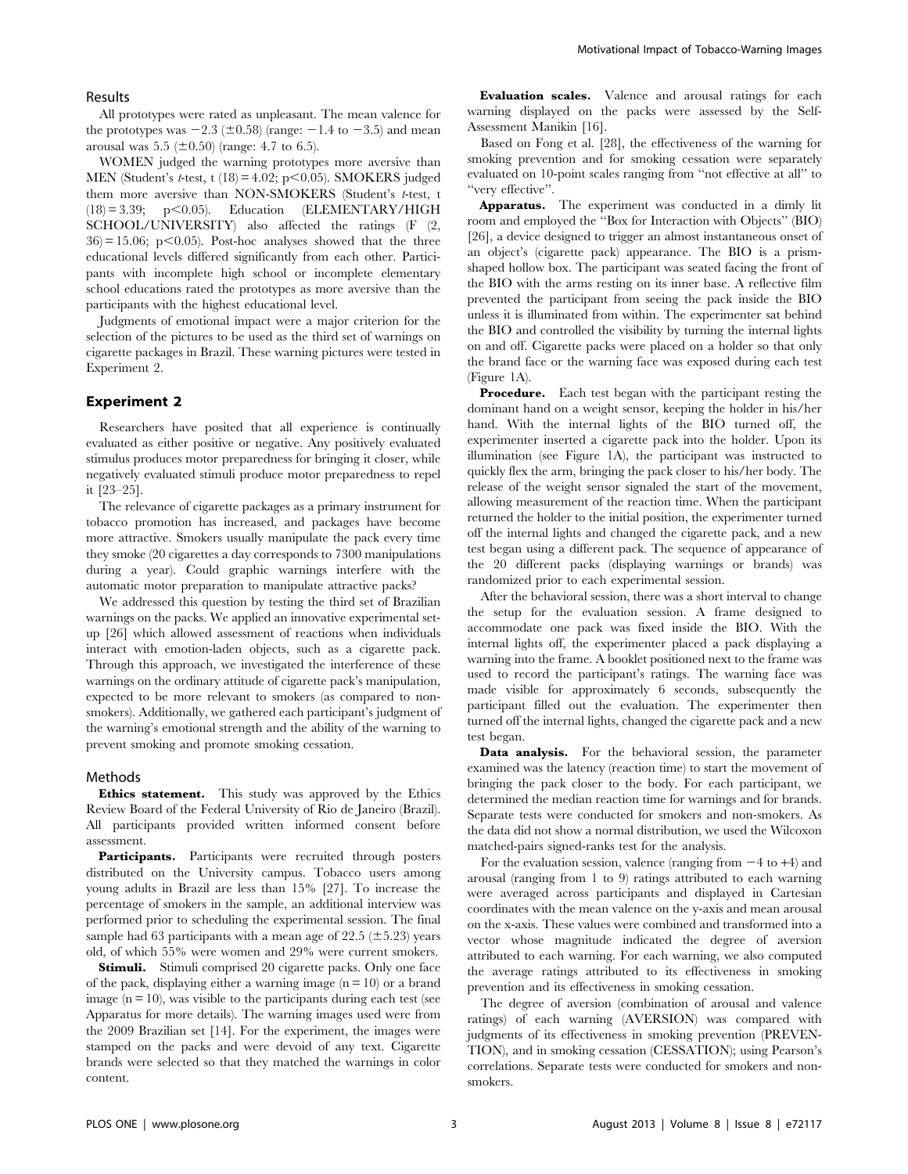# Results

All prototypes were rated as unpleasant. The mean valence for the prototypes was  $-2.3$  ( $\pm 0.58$ ) (range:  $-1.4$  to  $-3.5$ ) and mean arousal was 5.5 ( $\pm 0.50$ ) (range: 4.7 to 6.5).

WOMEN judged the warning prototypes more aversive than MEN (Student's *t*-test, t  $(18) = 4.02$ ; p $< 0.05$ ). SMOKERS judged them more aversive than NON-SMOKERS (Student's t-test, t  $(18) = 3.39$ ;  $p < 0.05$ ). Education (ELEMENTARY/HIGH SCHOOL/UNIVERSITY) also affected the ratings (F (2,  $36$  = 15.06; p $<$ 0.05). Post-hoc analyses showed that the three educational levels differed significantly from each other. Participants with incomplete high school or incomplete elementary school educations rated the prototypes as more aversive than the participants with the highest educational level.

Judgments of emotional impact were a major criterion for the selection of the pictures to be used as the third set of warnings on cigarette packages in Brazil. These warning pictures were tested in Experiment 2.

# Experiment 2

Researchers have posited that all experience is continually evaluated as either positive or negative. Any positively evaluated stimulus produces motor preparedness for bringing it closer, while negatively evaluated stimuli produce motor preparedness to repel it [23–25].

The relevance of cigarette packages as a primary instrument for tobacco promotion has increased, and packages have become more attractive. Smokers usually manipulate the pack every time they smoke (20 cigarettes a day corresponds to 7300 manipulations during a year). Could graphic warnings interfere with the automatic motor preparation to manipulate attractive packs?

We addressed this question by testing the third set of Brazilian warnings on the packs. We applied an innovative experimental setup [26] which allowed assessment of reactions when individuals interact with emotion-laden objects, such as a cigarette pack. Through this approach, we investigated the interference of these warnings on the ordinary attitude of cigarette pack's manipulation, expected to be more relevant to smokers (as compared to nonsmokers). Additionally, we gathered each participant's judgment of the warning's emotional strength and the ability of the warning to prevent smoking and promote smoking cessation.

#### Methods

Ethics statement. This study was approved by the Ethics Review Board of the Federal University of Rio de Janeiro (Brazil). All participants provided written informed consent before assessment.

Participants. Participants were recruited through posters distributed on the University campus. Tobacco users among young adults in Brazil are less than 15% [27]. To increase the percentage of smokers in the sample, an additional interview was performed prior to scheduling the experimental session. The final sample had 63 participants with a mean age of  $22.5$  ( $\pm 5.23$ ) years old, of which 55% were women and 29% were current smokers.

Stimuli. Stimuli comprised 20 cigarette packs. Only one face of the pack, displaying either a warning image  $(n = 10)$  or a brand image  $(n = 10)$ , was visible to the participants during each test (see Apparatus for more details). The warning images used were from the 2009 Brazilian set [14]. For the experiment, the images were stamped on the packs and were devoid of any text. Cigarette brands were selected so that they matched the warnings in color content.

Evaluation scales. Valence and arousal ratings for each warning displayed on the packs were assessed by the Self-Assessment Manikin [16].

Based on Fong et al. [28], the effectiveness of the warning for smoking prevention and for smoking cessation were separately evaluated on 10-point scales ranging from ''not effective at all'' to ''very effective''.

Apparatus. The experiment was conducted in a dimly lit room and employed the ''Box for Interaction with Objects'' (BIO) [26], a device designed to trigger an almost instantaneous onset of an object's (cigarette pack) appearance. The BIO is a prismshaped hollow box. The participant was seated facing the front of the BIO with the arms resting on its inner base. A reflective film prevented the participant from seeing the pack inside the BIO unless it is illuminated from within. The experimenter sat behind the BIO and controlled the visibility by turning the internal lights on and off. Cigarette packs were placed on a holder so that only the brand face or the warning face was exposed during each test (Figure 1A).

Procedure. Each test began with the participant resting the dominant hand on a weight sensor, keeping the holder in his/her hand. With the internal lights of the BIO turned off, the experimenter inserted a cigarette pack into the holder. Upon its illumination (see Figure 1A), the participant was instructed to quickly flex the arm, bringing the pack closer to his/her body. The release of the weight sensor signaled the start of the movement, allowing measurement of the reaction time. When the participant returned the holder to the initial position, the experimenter turned off the internal lights and changed the cigarette pack, and a new test began using a different pack. The sequence of appearance of the 20 different packs (displaying warnings or brands) was randomized prior to each experimental session.

After the behavioral session, there was a short interval to change the setup for the evaluation session. A frame designed to accommodate one pack was fixed inside the BIO. With the internal lights off, the experimenter placed a pack displaying a warning into the frame. A booklet positioned next to the frame was used to record the participant's ratings. The warning face was made visible for approximately 6 seconds, subsequently the participant filled out the evaluation. The experimenter then turned off the internal lights, changed the cigarette pack and a new test began.

Data analysis. For the behavioral session, the parameter examined was the latency (reaction time) to start the movement of bringing the pack closer to the body. For each participant, we determined the median reaction time for warnings and for brands. Separate tests were conducted for smokers and non-smokers. As the data did not show a normal distribution, we used the Wilcoxon matched-pairs signed-ranks test for the analysis.

For the evaluation session, valence (ranging from  $-4$  to  $+4$ ) and arousal (ranging from 1 to 9) ratings attributed to each warning were averaged across participants and displayed in Cartesian coordinates with the mean valence on the y-axis and mean arousal on the x-axis. These values were combined and transformed into a vector whose magnitude indicated the degree of aversion attributed to each warning. For each warning, we also computed the average ratings attributed to its effectiveness in smoking prevention and its effectiveness in smoking cessation.

The degree of aversion (combination of arousal and valence ratings) of each warning (AVERSION) was compared with judgments of its effectiveness in smoking prevention (PREVEN-TION), and in smoking cessation (CESSATION); using Pearson's correlations. Separate tests were conducted for smokers and nonsmokers.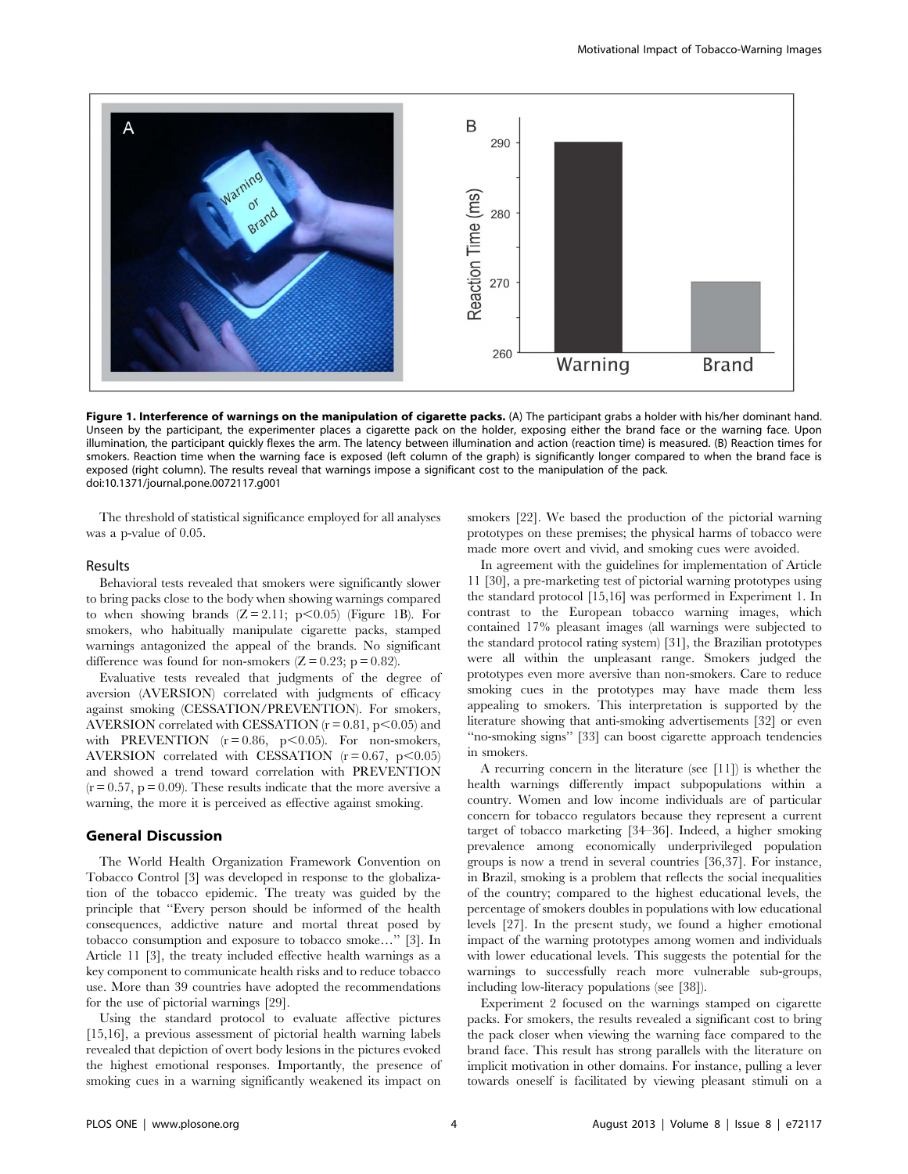

Figure 1. Interference of warnings on the manipulation of cigarette packs. (A) The participant grabs a holder with his/her dominant hand. Unseen by the participant, the experimenter places a cigarette pack on the holder, exposing either the brand face or the warning face. Upon illumination, the participant quickly flexes the arm. The latency between illumination and action (reaction time) is measured. (B) Reaction times for smokers. Reaction time when the warning face is exposed (left column of the graph) is significantly longer compared to when the brand face is exposed (right column). The results reveal that warnings impose a significant cost to the manipulation of the pack. doi:10.1371/journal.pone.0072117.g001

The threshold of statistical significance employed for all analyses was a p-value of 0.05.

### Results

Behavioral tests revealed that smokers were significantly slower to bring packs close to the body when showing warnings compared to when showing brands  $(Z = 2.11; p \le 0.05)$  (Figure 1B). For smokers, who habitually manipulate cigarette packs, stamped warnings antagonized the appeal of the brands. No significant difference was found for non-smokers  $(Z = 0.23; p = 0.82)$ .

Evaluative tests revealed that judgments of the degree of aversion (AVERSION) correlated with judgments of efficacy against smoking (CESSATION/PREVENTION). For smokers, AVERSION correlated with CESSATION  $(r = 0.81, p < 0.05)$  and with PREVENTION  $(r = 0.86, p < 0.05)$ . For non-smokers, AVERSION correlated with CESSATION  $(r = 0.67, p \le 0.05)$ and showed a trend toward correlation with PREVENTION  $(r = 0.57, p = 0.09)$ . These results indicate that the more aversive a warning, the more it is perceived as effective against smoking.

# General Discussion

The World Health Organization Framework Convention on Tobacco Control [3] was developed in response to the globalization of the tobacco epidemic. The treaty was guided by the principle that ''Every person should be informed of the health consequences, addictive nature and mortal threat posed by tobacco consumption and exposure to tobacco smoke…'' [3]. In Article 11 [3], the treaty included effective health warnings as a key component to communicate health risks and to reduce tobacco use. More than 39 countries have adopted the recommendations for the use of pictorial warnings [29].

Using the standard protocol to evaluate affective pictures [15,16], a previous assessment of pictorial health warning labels revealed that depiction of overt body lesions in the pictures evoked the highest emotional responses. Importantly, the presence of smoking cues in a warning significantly weakened its impact on smokers [22]. We based the production of the pictorial warning prototypes on these premises; the physical harms of tobacco were made more overt and vivid, and smoking cues were avoided.

In agreement with the guidelines for implementation of Article 11 [30], a pre-marketing test of pictorial warning prototypes using the standard protocol [15,16] was performed in Experiment 1. In contrast to the European tobacco warning images, which contained 17% pleasant images (all warnings were subjected to the standard protocol rating system) [31], the Brazilian prototypes were all within the unpleasant range. Smokers judged the prototypes even more aversive than non-smokers. Care to reduce smoking cues in the prototypes may have made them less appealing to smokers. This interpretation is supported by the literature showing that anti-smoking advertisements [32] or even ''no-smoking signs'' [33] can boost cigarette approach tendencies in smokers.

A recurring concern in the literature (see [11]) is whether the health warnings differently impact subpopulations within a country. Women and low income individuals are of particular concern for tobacco regulators because they represent a current target of tobacco marketing [34–36]. Indeed, a higher smoking prevalence among economically underprivileged population groups is now a trend in several countries [36,37]. For instance, in Brazil, smoking is a problem that reflects the social inequalities of the country; compared to the highest educational levels, the percentage of smokers doubles in populations with low educational levels [27]. In the present study, we found a higher emotional impact of the warning prototypes among women and individuals with lower educational levels. This suggests the potential for the warnings to successfully reach more vulnerable sub-groups, including low-literacy populations (see [38]).

Experiment 2 focused on the warnings stamped on cigarette packs. For smokers, the results revealed a significant cost to bring the pack closer when viewing the warning face compared to the brand face. This result has strong parallels with the literature on implicit motivation in other domains. For instance, pulling a lever towards oneself is facilitated by viewing pleasant stimuli on a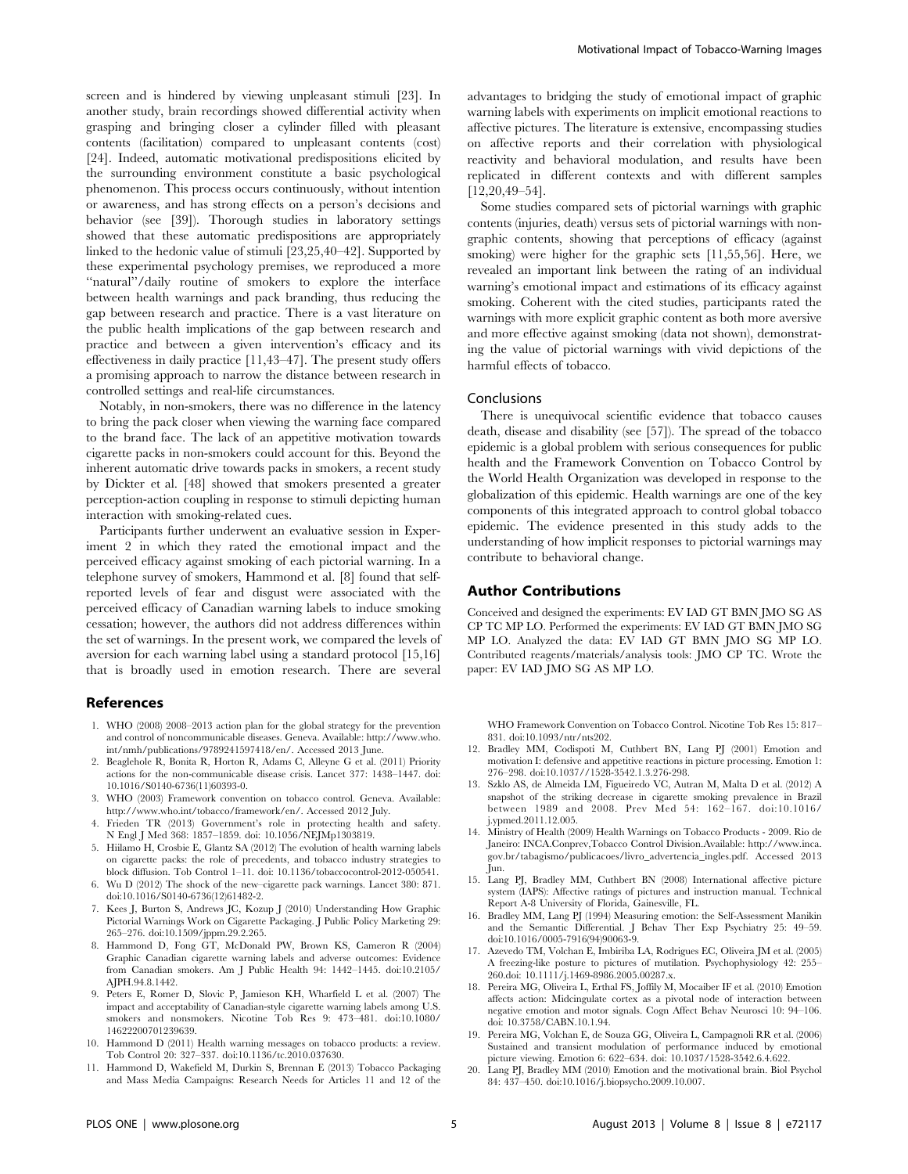screen and is hindered by viewing unpleasant stimuli [23]. In another study, brain recordings showed differential activity when grasping and bringing closer a cylinder filled with pleasant contents (facilitation) compared to unpleasant contents (cost) [24]. Indeed, automatic motivational predispositions elicited by the surrounding environment constitute a basic psychological phenomenon. This process occurs continuously, without intention or awareness, and has strong effects on a person's decisions and behavior (see [39]). Thorough studies in laboratory settings showed that these automatic predispositions are appropriately linked to the hedonic value of stimuli [23,25,40–42]. Supported by these experimental psychology premises, we reproduced a more "natural"/daily routine of smokers to explore the interface between health warnings and pack branding, thus reducing the gap between research and practice. There is a vast literature on the public health implications of the gap between research and practice and between a given intervention's efficacy and its effectiveness in daily practice [11,43–47]. The present study offers a promising approach to narrow the distance between research in controlled settings and real-life circumstances.

Notably, in non-smokers, there was no difference in the latency to bring the pack closer when viewing the warning face compared to the brand face. The lack of an appetitive motivation towards cigarette packs in non-smokers could account for this. Beyond the inherent automatic drive towards packs in smokers, a recent study by Dickter et al. [48] showed that smokers presented a greater perception-action coupling in response to stimuli depicting human interaction with smoking-related cues.

Participants further underwent an evaluative session in Experiment 2 in which they rated the emotional impact and the perceived efficacy against smoking of each pictorial warning. In a telephone survey of smokers, Hammond et al. [8] found that selfreported levels of fear and disgust were associated with the perceived efficacy of Canadian warning labels to induce smoking cessation; however, the authors did not address differences within the set of warnings. In the present work, we compared the levels of aversion for each warning label using a standard protocol [15,16] that is broadly used in emotion research. There are several

# References

- 1. WHO (2008) 2008–2013 action plan for the global strategy for the prevention and control of noncommunicable diseases. Geneva. Available: http://www.who. int/nmh/publications/9789241597418/en/. Accessed 2013 June.
- 2. Beaglehole R, Bonita R, Horton R, Adams C, Alleyne G et al. (2011) Priority actions for the non-communicable disease crisis. Lancet 377: 1438–1447. doi: 10.1016/S0140-6736(11)60393-0.
- 3. WHO (2003) Framework convention on tobacco control. Geneva. Available: http://www.who.int/tobacco/framework/en/. Accessed 2012 July.
- 4. Frieden TR (2013) Government's role in protecting health and safety. N Engl J Med 368: 1857–1859. doi: 10.1056/NEJMp1303819.
- 5. Hiilamo H, Crosbie E, Glantz SA (2012) The evolution of health warning labels on cigarette packs: the role of precedents, and tobacco industry strategies to block diffusion. Tob Control 1–11. doi: 10.1136/tobaccocontrol-2012-050541.
- 6. Wu D (2012) The shock of the new–cigarette pack warnings. Lancet 380: 871. doi:10.1016/S0140-6736(12)61482-2.
- 7. Kees J, Burton S, Andrews JC, Kozup J (2010) Understanding How Graphic Pictorial Warnings Work on Cigarette Packaging. J Public Policy Marketing 29: 265–276. doi:10.1509/jppm.29.2.265.
- 8. Hammond D, Fong GT, McDonald PW, Brown KS, Cameron R (2004) Graphic Canadian cigarette warning labels and adverse outcomes: Evidence from Canadian smokers. Am J Public Health 94: 1442–1445. doi:10.2105/ AJPH.94.8.1442.
- 9. Peters E, Romer D, Slovic P, Jamieson KH, Wharfield L et al. (2007) The impact and acceptability of Canadian-style cigarette warning labels among U.S. smokers and nonsmokers. Nicotine Tob Res 9: 473–481. doi:10.1080/ 14622200701239639.
- 10. Hammond D (2011) Health warning messages on tobacco products: a review. Tob Control 20: 327–337. doi:10.1136/tc.2010.037630.
- 11. Hammond D, Wakefield M, Durkin S, Brennan E (2013) Tobacco Packaging and Mass Media Campaigns: Research Needs for Articles 11 and 12 of the

advantages to bridging the study of emotional impact of graphic warning labels with experiments on implicit emotional reactions to affective pictures. The literature is extensive, encompassing studies on affective reports and their correlation with physiological reactivity and behavioral modulation, and results have been replicated in different contexts and with different samples [12,20,49–54].

Some studies compared sets of pictorial warnings with graphic contents (injuries, death) versus sets of pictorial warnings with nongraphic contents, showing that perceptions of efficacy (against smoking) were higher for the graphic sets [11,55,56]. Here, we revealed an important link between the rating of an individual warning's emotional impact and estimations of its efficacy against smoking. Coherent with the cited studies, participants rated the warnings with more explicit graphic content as both more aversive and more effective against smoking (data not shown), demonstrating the value of pictorial warnings with vivid depictions of the harmful effects of tobacco.

### Conclusions

There is unequivocal scientific evidence that tobacco causes death, disease and disability (see [57]). The spread of the tobacco epidemic is a global problem with serious consequences for public health and the Framework Convention on Tobacco Control by the World Health Organization was developed in response to the globalization of this epidemic. Health warnings are one of the key components of this integrated approach to control global tobacco epidemic. The evidence presented in this study adds to the understanding of how implicit responses to pictorial warnings may contribute to behavioral change.

# Author Contributions

Conceived and designed the experiments: EV IAD GT BMN JMO SG AS CP TC MP LO. Performed the experiments: EV IAD GT BMN JMO SG MP LO. Analyzed the data: EV IAD GT BMN JMO SG MP LO. Contributed reagents/materials/analysis tools: JMO CP TC. Wrote the paper: EV IAD JMO SG AS MP LO.

WHO Framework Convention on Tobacco Control. Nicotine Tob Res 15: 817– 831. doi:10.1093/ntr/nts202.

- 12. Bradley MM, Codispoti M, Cuthbert BN, Lang PJ (2001) Emotion and motivation I: defensive and appetitive reactions in picture processing. Emotion 1: 276–298. doi:10.1037//1528-3542.1.3.276-298.
- 13. Szklo AS, de Almeida LM, Figueiredo VC, Autran M, Malta D et al. (2012) A snapshot of the striking decrease in cigarette smoking prevalence in Brazil between 1989 and 2008. Prev Med 54: 162–167. doi:10.1016/ j.ypmed.2011.12.005.
- 14. Ministry of Health (2009) Health Warnings on Tobacco Products 2009. Rio de Janeiro: INCA.Conprev,Tobacco Control Division.Available: http://www.inca. gov.br/tabagismo/publicacoes/livro\_advertencia\_ingles.pdf. Accessed 2013 Jun.
- 15. Lang PJ, Bradley MM, Cuthbert BN (2008) International affective picture system (IAPS): Affective ratings of pictures and instruction manual. Technical Report A-8 University of Florida, Gainesville, FL.
- 16. Bradley MM, Lang PJ (1994) Measuring emotion: the Self-Assessment Manikin and the Semantic Differential. J Behav Ther Exp Psychiatry 25: 49–59. doi:10.1016/0005-7916(94)90063-9.
- 17. Azevedo TM, Volchan E, Imbiriba LA, Rodrigues EC, Oliveira JM et al. (2005) A freezing-like posture to pictures of mutilation. Psychophysiology 42: 255– 260.doi: 10.1111/j.1469-8986.2005.00287.x.
- 18. Pereira MG, Oliveira L, Erthal FS, Joffily M, Mocaiber IF et al. (2010) Emotion affects action: Midcingulate cortex as a pivotal node of interaction between negative emotion and motor signals. Cogn Affect Behav Neurosci 10: 94–106. doi: 10.3758/CABN.10.1.94.
- 19. Pereira MG, Volchan E, de Souza GG, Oliveira L, Campagnoli RR et al. (2006) Sustained and transient modulation of performance induced by emotional picture viewing. Emotion 6: 622–634. doi: 10.1037/1528-3542.6.4.622.
- 20. Lang PJ, Bradley MM (2010) Emotion and the motivational brain. Biol Psychol 84: 437–450. doi:10.1016/j.biopsycho.2009.10.007.